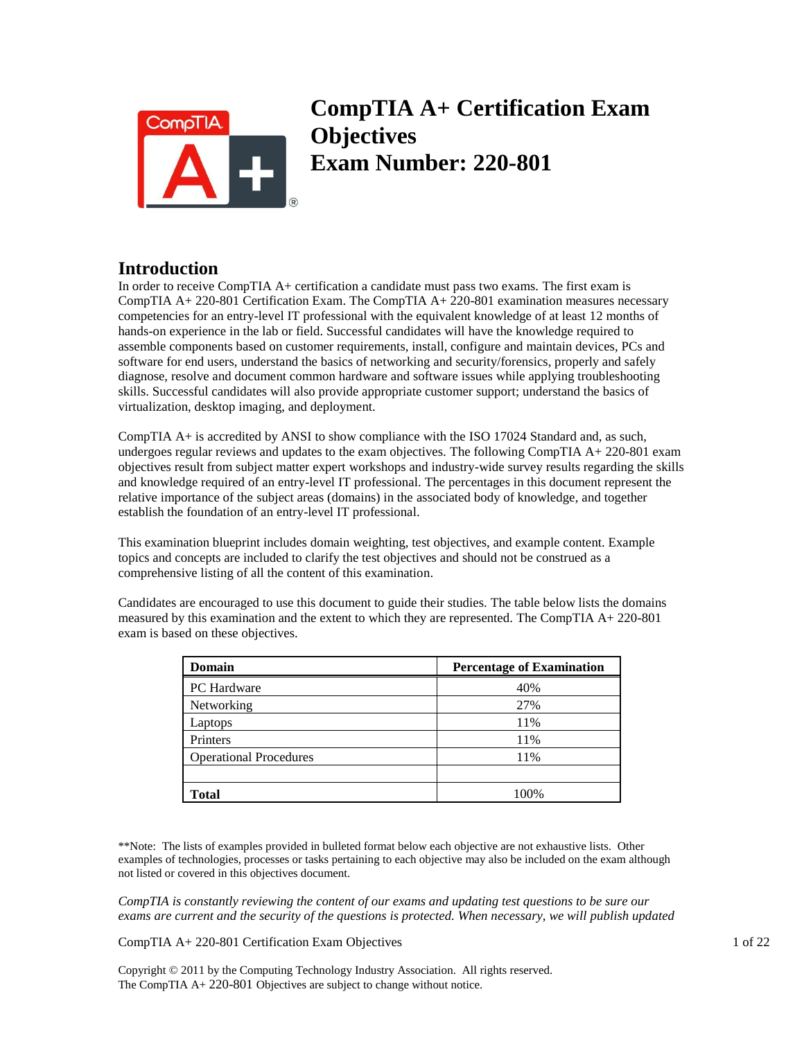

# **CompTIA A+ Certification Exam Objectives Exam Number: 220-801**

# **Introduction**

In order to receive CompTIA A+ certification a candidate must pass two exams. The first exam is CompTIA A+ 220-801 Certification Exam. The CompTIA A+ 220-801 examination measures necessary competencies for an entry-level IT professional with the equivalent knowledge of at least 12 months of hands-on experience in the lab or field. Successful candidates will have the knowledge required to assemble components based on customer requirements, install, configure and maintain devices, PCs and software for end users, understand the basics of networking and security/forensics, properly and safely diagnose, resolve and document common hardware and software issues while applying troubleshooting skills. Successful candidates will also provide appropriate customer support; understand the basics of virtualization, desktop imaging, and deployment.

CompTIA A+ is accredited by ANSI to show compliance with the ISO 17024 Standard and, as such, undergoes regular reviews and updates to the exam objectives. The following CompTIA  $A + 220-801$  exam objectives result from subject matter expert workshops and industry-wide survey results regarding the skills and knowledge required of an entry-level IT professional. The percentages in this document represent the relative importance of the subject areas (domains) in the associated body of knowledge, and together establish the foundation of an entry-level IT professional.

This examination blueprint includes domain weighting, test objectives, and example content. Example topics and concepts are included to clarify the test objectives and should not be construed as a comprehensive listing of all the content of this examination.

Candidates are encouraged to use this document to guide their studies. The table below lists the domains measured by this examination and the extent to which they are represented. The CompTIA A+ 220-801 exam is based on these objectives.

| Domain                        | <b>Percentage of Examination</b> |
|-------------------------------|----------------------------------|
| <b>PC</b> Hardware            | 40%                              |
| Networking                    | 27%                              |
| Laptops                       | 11%                              |
| Printers                      | 11%                              |
| <b>Operational Procedures</b> | 11%                              |
|                               |                                  |
| <b>Total</b>                  | 100%                             |

\*\*Note: The lists of examples provided in bulleted format below each objective are not exhaustive lists. Other examples of technologies, processes or tasks pertaining to each objective may also be included on the exam although not listed or covered in this objectives document.

*CompTIA is constantly reviewing the content of our exams and updating test questions to be sure our exams are current and the security of the questions is protected. When necessary, we will publish updated* 

CompTIA A+ 220-801 Certification Exam Objectives 1 of 22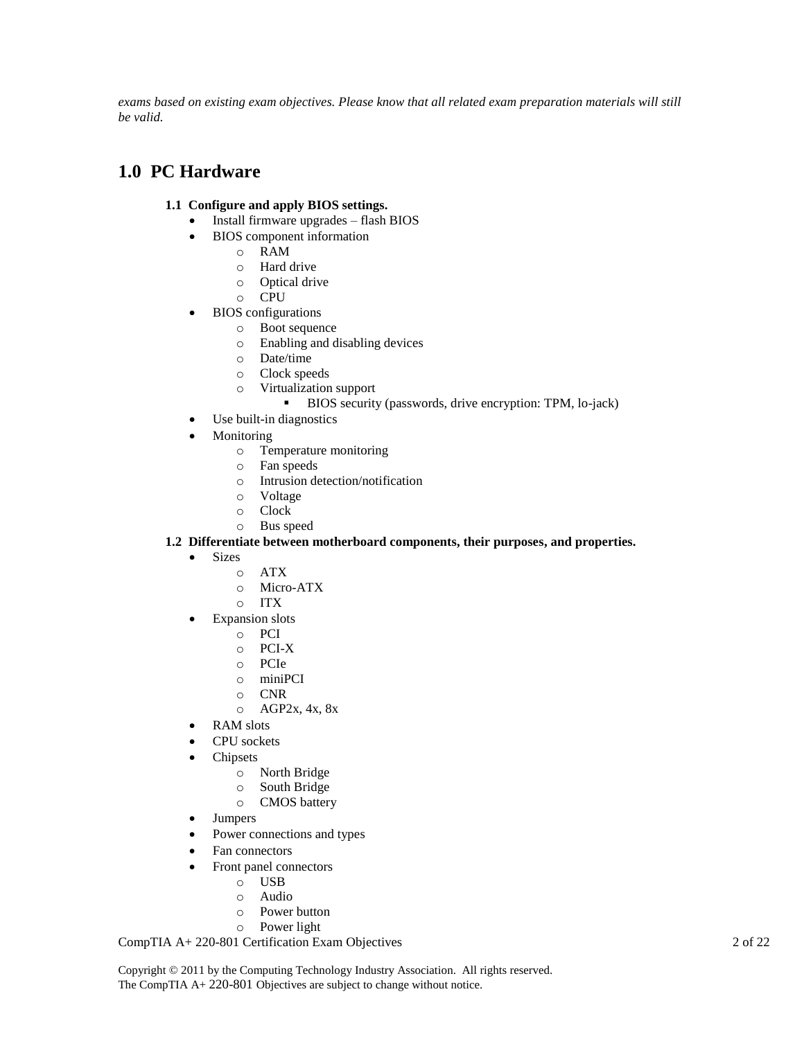exams based on existing exam objectives. Please know that all related exam preparation materials will still *be valid.* 

# **1.0 PC Hardware**

# **1.1 Configure and apply BIOS settings.**

- Install firmware upgrades flash BIOS
- BIOS component information
	- o RAM
		- o Hard drive
		- o Optical drive
		- o CPU
- BIOS configurations
	- o Boot sequence
	- o Enabling and disabling devices
	- o Date/time
	- o Clock speeds
	- o Virtualization support
		- BIOS security (passwords, drive encryption: TPM, lo-jack)
- Use built-in diagnostics
- Monitoring
	- o Temperature monitoring
	- o Fan speeds
	- o Intrusion detection/notification
	- o Voltage
	- o Clock
	- o Bus speed

## **1.2 Differentiate between motherboard components, their purposes, and properties.**

- Sizes
	- o ATX
	- o Micro-ATX
	- o ITX
- **•** Expansion slots
	- o PCI
	- o PCI-X
	- o PCIe
	- o miniPCI
	- o CNR
	- o AGP2x, 4x, 8x
	- RAM slots
- CPU sockets
- Chipsets
	- o North Bridge
	- o South Bridge
	- o CMOS battery
- Jumpers
- Power connections and types
- Fan connectors
- Front panel connectors
	- o USB
		- o Audio
		- o Power button
		- o Power light

CompTIA A+ 220-801 Certification Exam Objectives 2 of 22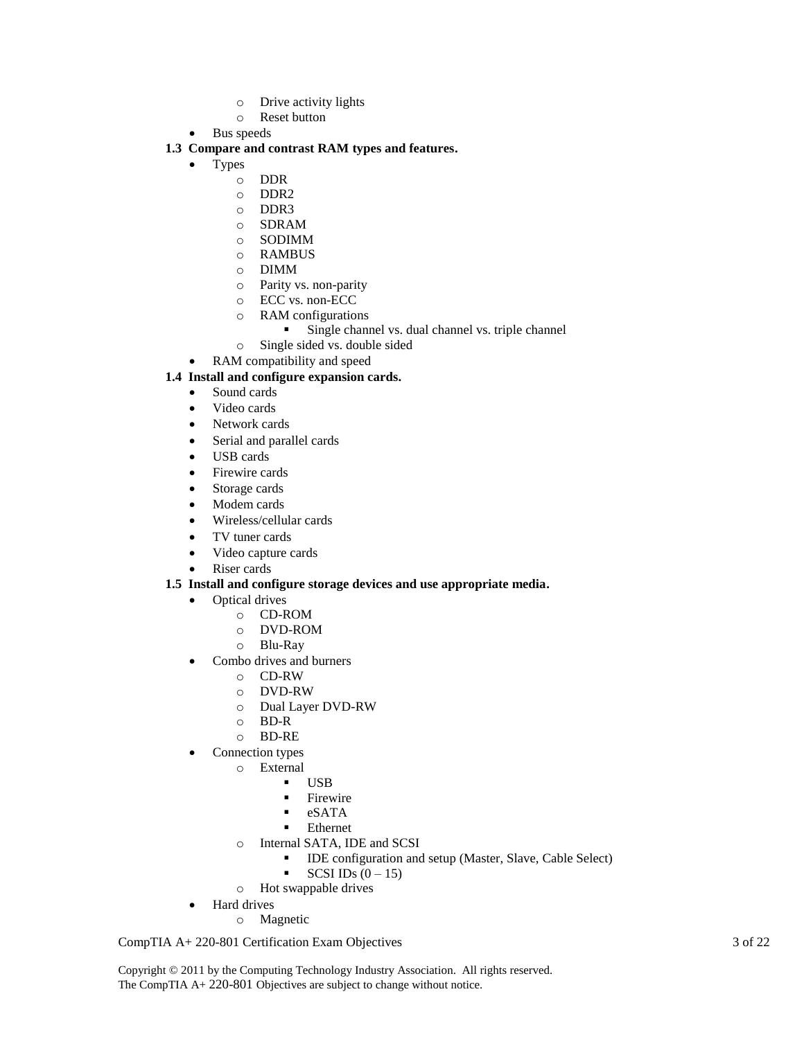- o Drive activity lights
- o Reset button
- Bus speeds

#### **1.3 Compare and contrast RAM types and features.**

- Types
	- o DDR
	- o DDR2
	- o DDR3
	- o SDRAM
	- o SODIMM
	- o RAMBUS
	- o DIMM
	- o Parity vs. non-parity
	- o ECC vs. non-ECC
	- o RAM configurations
		- **Single channel vs. dual channel vs. triple channel**
	- o Single sided vs. double sided
	- RAM compatibility and speed

#### **1.4 Install and configure expansion cards.**

- Sound cards
- Video cards
- Network cards
- Serial and parallel cards
- USB cards
- Firewire cards
- Storage cards
- Modem cards
- Wireless/cellular cards
- TV tuner cards
- Video capture cards
- Riser cards

#### **1.5 Install and configure storage devices and use appropriate media.**

- Optical drives
	- o CD-ROM
	- o DVD-ROM
	- o Blu-Ray
- Combo drives and burners
	- o CD-RW
	- o DVD-RW
	- o Dual Layer DVD-RW
	- o BD-R
	- o BD-RE
- Connection types
	- o External
		- USB
		- $\blacksquare$  Firewire
		- eSATA
		- Ethernet
	- o Internal SATA, IDE and SCSI
		- IDE configuration and setup (Master, Slave, Cable Select)
		- SCSI IDs  $(0-15)$
	- o Hot swappable drives
	- Hard drives
		- o Magnetic

CompTIA A+ 220-801 Certification Exam Objectives 3 of 22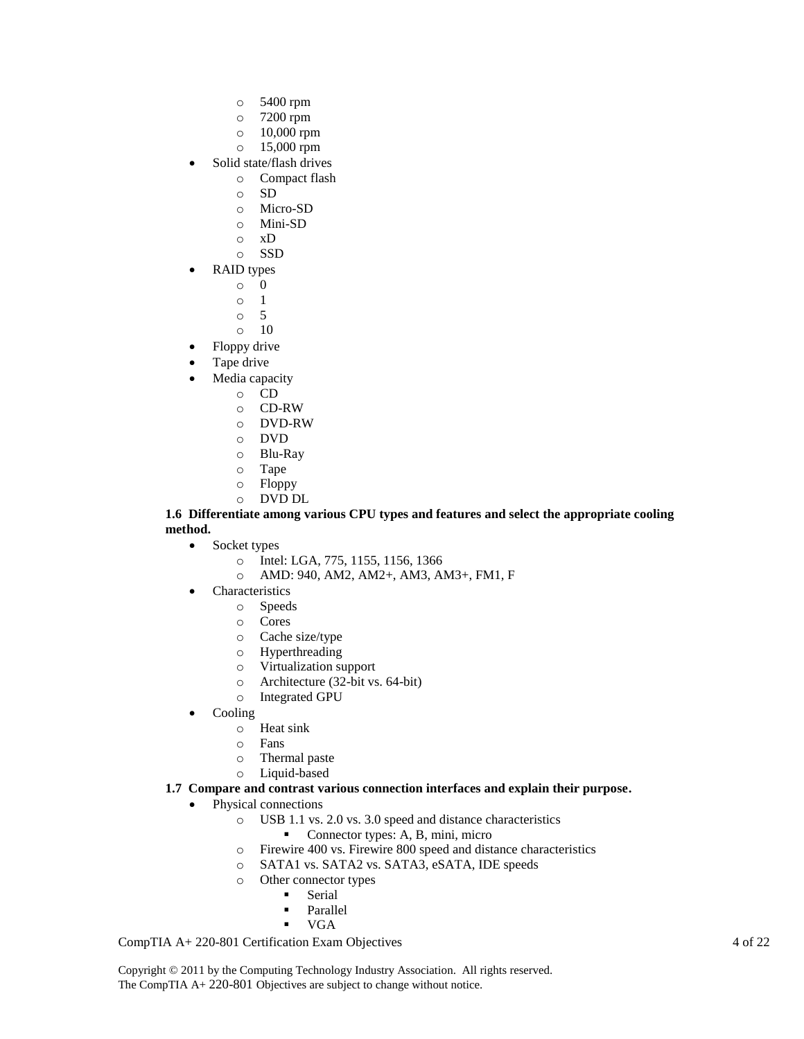- o 5400 rpm
- o 7200 rpm
- o 10,000 rpm
- o 15,000 rpm
- Solid state/flash drives
	- o Compact flash
		- o SD
		- o Micro-SD
		- o Mini-SD
		- o xD
		- o SSD
- RAID types
	- o 0
	- o 1
	- o 5
	- o 10
	- Floppy drive
- Tape drive
- Media capacity
	- o CD
	- o CD-RW
	- o DVD-RW
	- o DVD
	- o Blu-Ray
	- o Tape
	- o Floppy
	- o DVD DL

#### **1.6 Differentiate among various CPU types and features and select the appropriate cooling method.**

- Socket types
	- o Intel: LGA, 775, 1155, 1156, 1366
	- o AMD: 940, AM2, AM2+, AM3, AM3+, FM1, F
- Characteristics
	- o Speeds
	- o Cores
	- o Cache size/type
	- o Hyperthreading
	- o Virtualization support
	- o Architecture (32-bit vs. 64-bit)
	- o Integrated GPU
- Cooling
	- o Heat sink
	- o Fans
	- o Thermal paste
	- o Liquid-based

#### **1.7 Compare and contrast various connection interfaces and explain their purpose.**

- Physical connections
	- o USB 1.1 vs. 2.0 vs. 3.0 speed and distance characteristics
		- Connector types: A, B, mini, micro
	- o Firewire 400 vs. Firewire 800 speed and distance characteristics
	- o SATA1 vs. SATA2 vs. SATA3, eSATA, IDE speeds
	- o Other connector types
		- **Serial** 
			- **Parallel**
			- **vGA**

CompTIA A+ 220-801 Certification Exam Objectives 4 of 22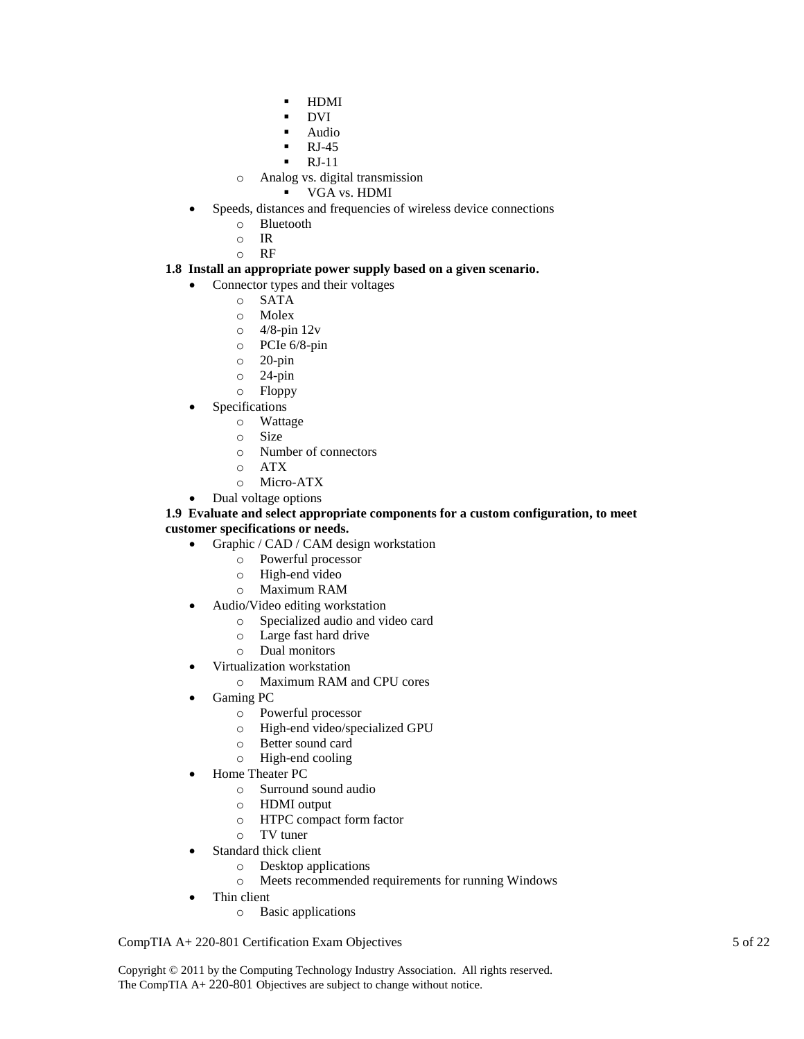- **-** HDMI
- DVI
- Audio
- RJ-45
- RJ-11
- o Analog vs. digital transmission
	- VGA vs. HDMI
- Speeds, distances and frequencies of wireless device connections
	- o Bluetooth
	- o IR
	- o RF

### **1.8 Install an appropriate power supply based on a given scenario.**

- Connector types and their voltages
	- o SATA
	- o Molex
	- o 4/8-pin 12v
	- o PCIe 6/8-pin
	- o 20-pin
	- o 24-pin
	- o Floppy
	- Specifications
		- o Wattage
		- o Size
		- o Number of connectors
		- o ATX
		- o Micro-ATX
- Dual voltage options

#### **1.9 Evaluate and select appropriate components for a custom configuration, to meet customer specifications or needs.**

- Graphic / CAD / CAM design workstation
	- o Powerful processor
	- o High-end video
	- o Maximum RAM
- Audio/Video editing workstation
	- o Specialized audio and video card
	- o Large fast hard drive
	- o Dual monitors
- Virtualization workstation
	- o Maximum RAM and CPU cores
- Gaming PC
	- o Powerful processor
	- o High-end video/specialized GPU
	- o Better sound card
	- o High-end cooling
	- Home Theater PC
		- o Surround sound audio
		- o HDMI output
		- o HTPC compact form factor
		- o TV tuner
- Standard thick client
	- o Desktop applications
	- o Meets recommended requirements for running Windows
- Thin client
	- o Basic applications

CompTIA A+ 220-801 Certification Exam Objectives 5 of 22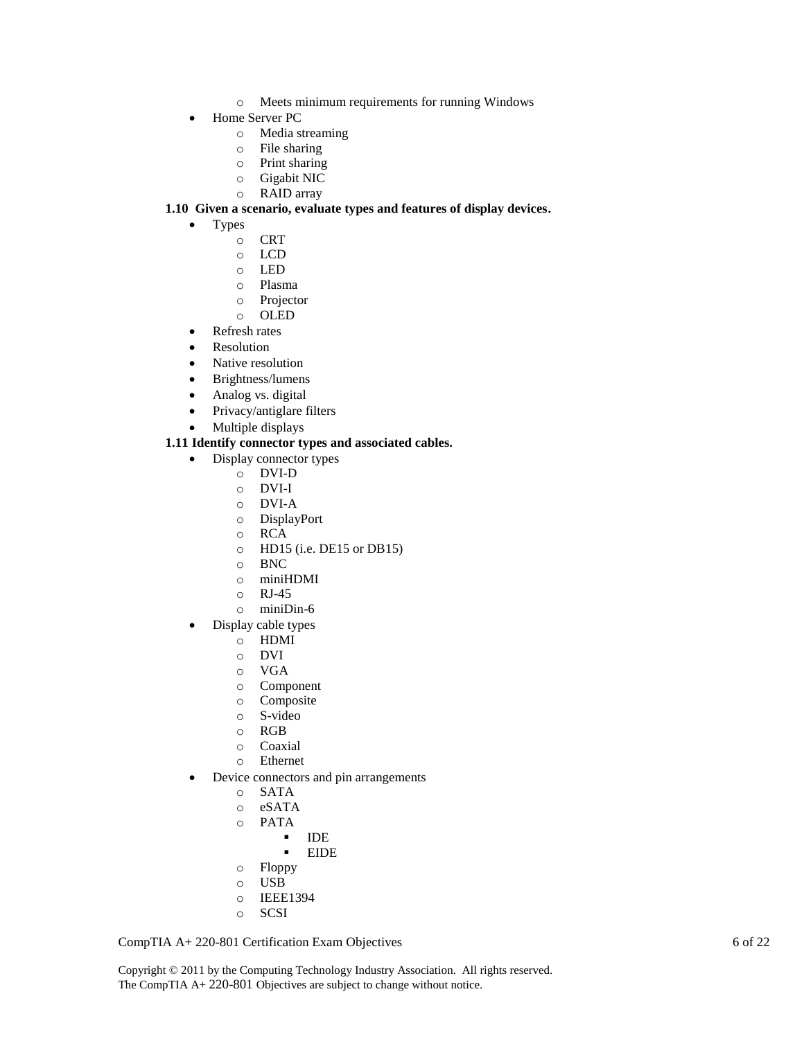- o Meets minimum requirements for running Windows
- Home Server PC
	- o Media streaming
	- o File sharing
	- o Print sharing
	- o Gigabit NIC
	- o RAID array

#### **1.10 Given a scenario, evaluate types and features of display devices.**

- Types
	- o CRT
	- o LCD
	- o LED
	- o Plasma
	- o Projector
	- o OLED
- Refresh rates
- Resolution
- Native resolution
- Brightness/lumens
- Analog vs. digital
- Privacy/antiglare filters
- Multiple displays

#### **1.11 Identify connector types and associated cables.**

- Display connector types
	- o DVI-D
	- o DVI-I
	- o DVI-A
	- o DisplayPort
	- o RCA
	- o HD15 (i.e. DE15 or DB15)
	- o BNC
	- o miniHDMI
	- o RJ-45
	- o miniDin-6
- Display cable types
	- o HDMI
	- o DVI
	- o VGA
	- o Component
	- o Composite
	- o S-video
	- o RGB
	- o Coaxial
	- o Ethernet
- Device connectors and pin arrangements
	- o SATA
	- o eSATA
	- o PATA
		- · IDE
			- EIDE
	- o Floppy
	- o USB
	- o IEEE1394
	- o SCSI

CompTIA A+ 220-801 Certification Exam Objectives 6 of 22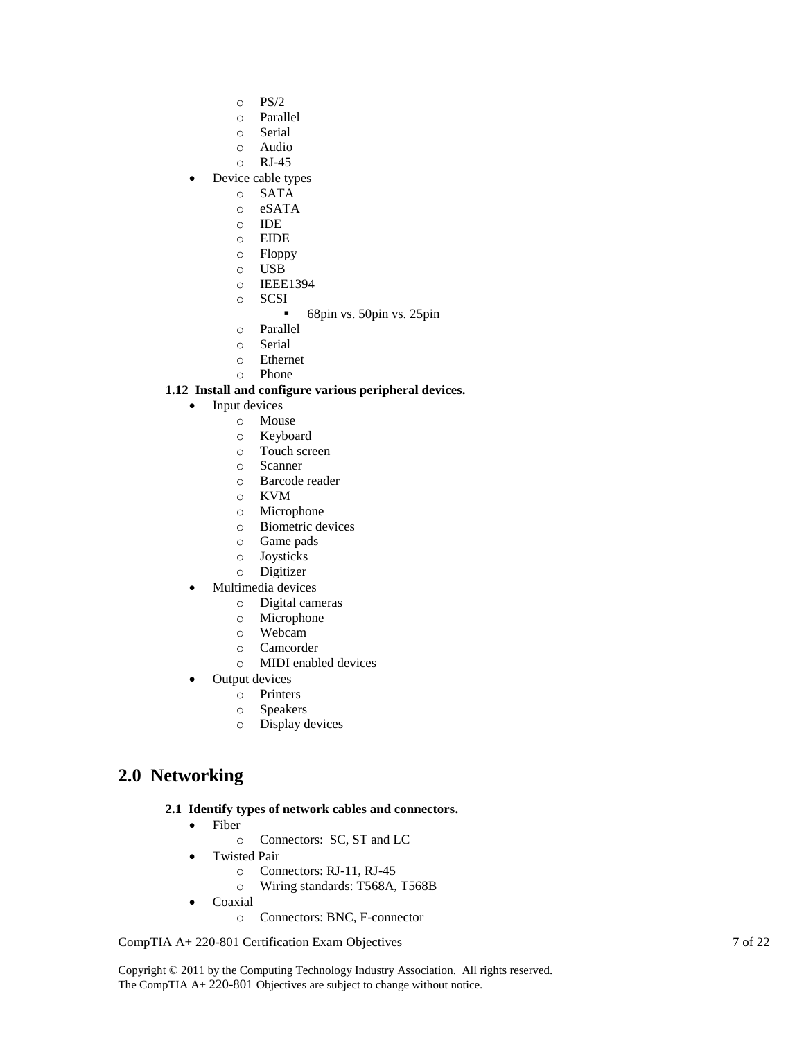- o PS/2
- o Parallel
- o Serial
- o Audio
- o RJ-45
- Device cable types
	- o SATA
	- o eSATA
	- o IDE
	- o EIDE
	- o Floppy
	- o USB
	- o IEEE1394
	- o SCSI
		- 68pin vs. 50pin vs. 25pin
	- o Parallel
	- o Serial
	- o Ethernet
	- o Phone

### **1.12 Install and configure various peripheral devices.**

- Input devices
	- o Mouse
	- o Keyboard
	- o Touch screen
	- o Scanner
	- o Barcode reader
	- o KVM
	- o Microphone
	- o Biometric devices
	- o Game pads
	- o Joysticks
	- o Digitizer
- Multimedia devices
	- o Digital cameras
	- o Microphone
	- o Webcam
	- o Camcorder
	- o MIDI enabled devices
- Output devices
	- o Printers
	- o Speakers
	- o Display devices

# **2.0 Networking**

#### **2.1 Identify types of network cables and connectors.**

- Fiber
	- o Connectors: SC, ST and LC
- Twisted Pair
	- o Connectors: RJ-11, RJ-45
	- o Wiring standards: T568A, T568B
- Coaxial
	- o Connectors: BNC, F-connector

CompTIA A+ 220-801 Certification Exam Objectives 7 of 22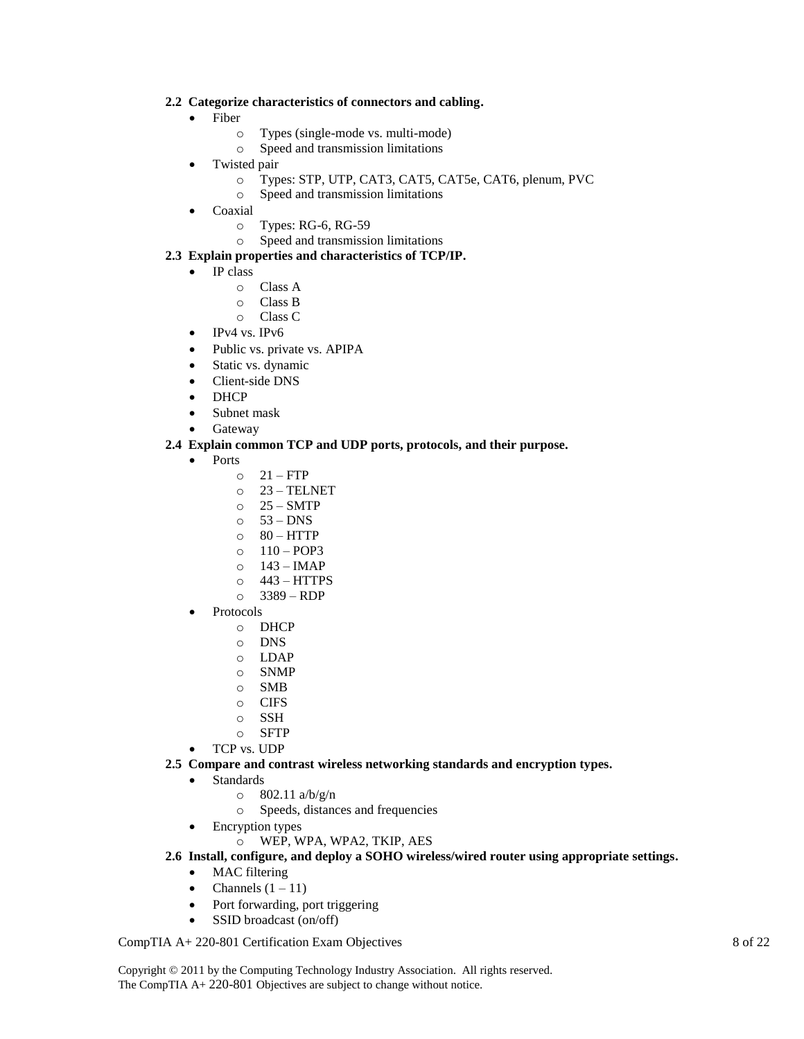#### **2.2 Categorize characteristics of connectors and cabling.**

- Fiber
	- o Types (single-mode vs. multi-mode)
	- o Speed and transmission limitations
- Twisted pair
	- o Types: STP, UTP, CAT3, CAT5, CAT5e, CAT6, plenum, PVC
	- o Speed and transmission limitations
- Coaxial
	- o Types: RG-6, RG-59
	- o Speed and transmission limitations

#### **2.3 Explain properties and characteristics of TCP/IP.**

- IP class
	- o Class A
	- o Class B
	- o Class C
- IPv4 vs. IPv6
- Public vs. private vs. APIPA
- Static vs. dynamic
- Client-side DNS
- DHCP
- Subnet mask
- Gateway

#### **2.4 Explain common TCP and UDP ports, protocols, and their purpose.**

- Ports
	- $O$  21 FTP
	- o 23 TELNET
	- $O$  25 SMTP
	- $\circ$  53 DNS
	- $\circ$  80 HTTP
	- $O = 110 POP3$
	- $O$  143 IMAP
	- $\circ$  443 HTTPS
	- $O$  3389 RDP
- Protocols
	- o DHCP
	- o DNS
	- o LDAP
	- o SNMP
	- o SMB
	- o CIFS
	- o SSH
	- o SFTP
- TCP vs. UDP
- **2.5 Compare and contrast wireless networking standards and encryption types.**
	- Standards
		- $\degree$  802.11 a/b/g/n
		- o Speeds, distances and frequencies
	- Encryption types
		- o WEP, WPA, WPA2, TKIP, AES
- **2.6 Install, configure, and deploy a SOHO wireless/wired router using appropriate settings.**
	- MAC filtering
	- Channels  $(1 11)$
	- Port forwarding, port triggering
	- SSID broadcast (on/off)

#### CompTIA A+ 220-801 Certification Exam Objectives 8 of 22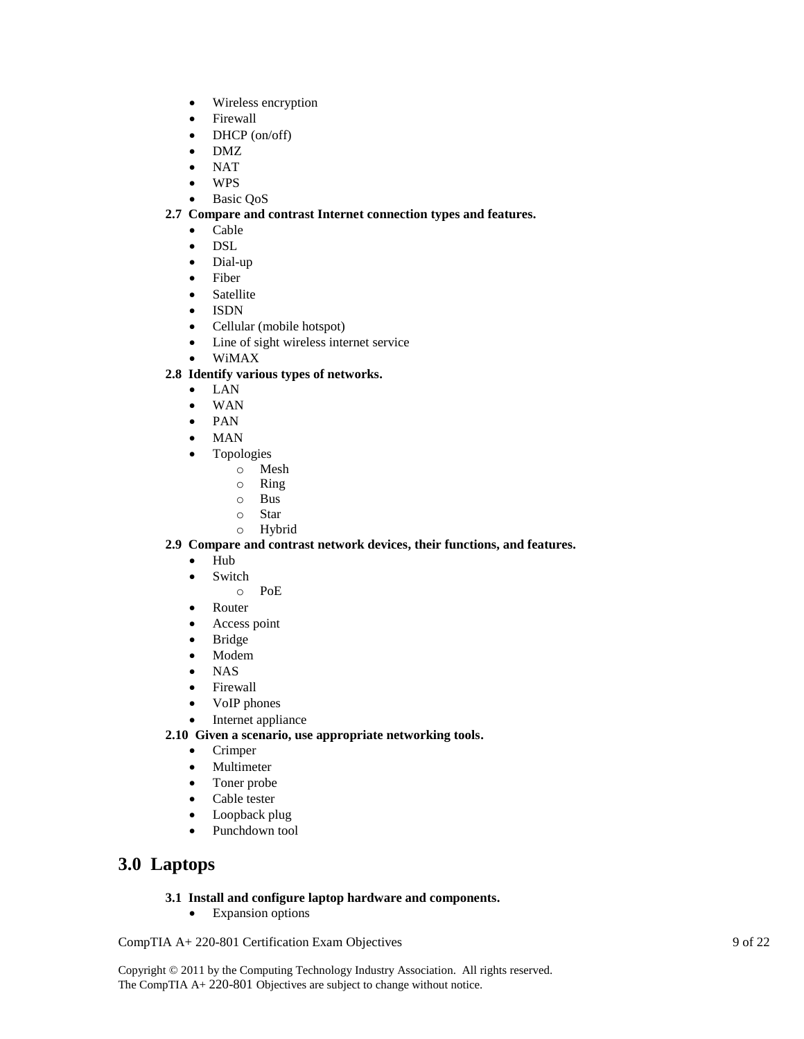- Wireless encryption
- Firewall
- DHCP (on/off)
- DMZ
- $\bullet$  NAT
- WPS
- Basic QoS

### **2.7 Compare and contrast Internet connection types and features.**

- Cable
- DSL
- Dial-up
- Fiber
- Satellite
- ISDN
- Cellular (mobile hotspot)
- Line of sight wireless internet service
- WiMAX

### **2.8 Identify various types of networks.**

- LAN
- WAN
- PAN
- MAN
- Topologies
	- o Mesh
		- o Ring
		- o Bus
	- o Star
	- o Hybrid

#### **2.9 Compare and contrast network devices, their functions, and features.**

- Hub
- Switch
	- o PoE
- Router
- Access point
- Bridge
- Modem
- NAS
- Firewall
- VoIP phones
- Internet appliance

**2.10 Given a scenario, use appropriate networking tools.**

- Crimper
- Multimeter
- Toner probe
- Cable tester
- Loopback plug
- Punchdown tool

# **3.0 Laptops**

## **3.1 Install and configure laptop hardware and components.**

• Expansion options

CompTIA A+ 220-801 Certification Exam Objectives 9 of 22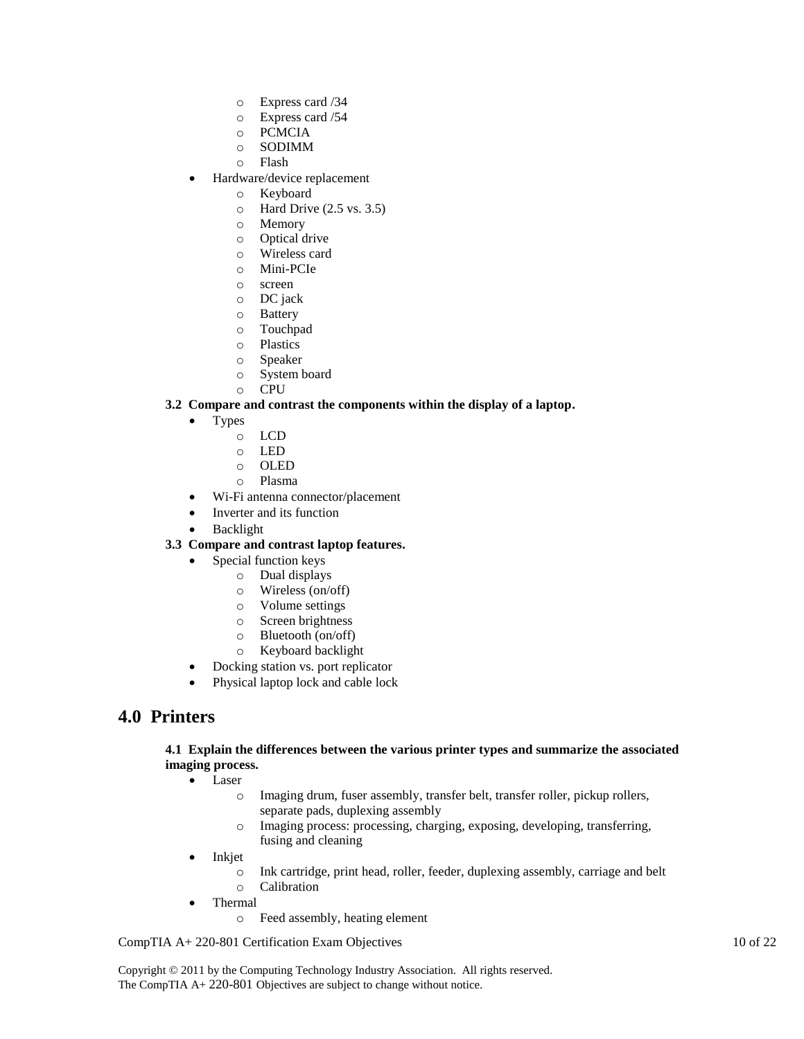- o Express card /34
- o Express card /54
- o PCMCIA
- o SODIMM
- o Flash
- Hardware/device replacement
	- o Keyboard
	- o Hard Drive (2.5 vs. 3.5)
	- o Memory
	- o Optical drive
	- o Wireless card
	- o Mini-PCIe
	- o screen
	- o DC jack
	- o Battery
	- o Touchpad
	- o Plastics
	- o Speaker
	- o System board
	- o CPU

### **3.2 Compare and contrast the components within the display of a laptop.**

- Types
	- o LCD
	- o LED
	- o OLED
	- o Plasma
- Wi-Fi antenna connector/placement
- Inverter and its function
- Backlight

## **3.3 Compare and contrast laptop features.**

- Special function keys
	- o Dual displays
	- o Wireless (on/off)
	- o Volume settings
	- o Screen brightness
	- o Bluetooth (on/off)
	- o Keyboard backlight
- Docking station vs. port replicator
- Physical laptop lock and cable lock

# **4.0 Printers**

### **4.1 Explain the differences between the various printer types and summarize the associated imaging process.**

- Laser
	- o Imaging drum, fuser assembly, transfer belt, transfer roller, pickup rollers, separate pads, duplexing assembly
	- o Imaging process: processing, charging, exposing, developing, transferring, fusing and cleaning
- Inkjet
	- o Ink cartridge, print head, roller, feeder, duplexing assembly, carriage and belt
	- o Calibration
- Thermal
	- o Feed assembly, heating element

CompTIA A+ 220-801 Certification Exam Objectives 10 of 22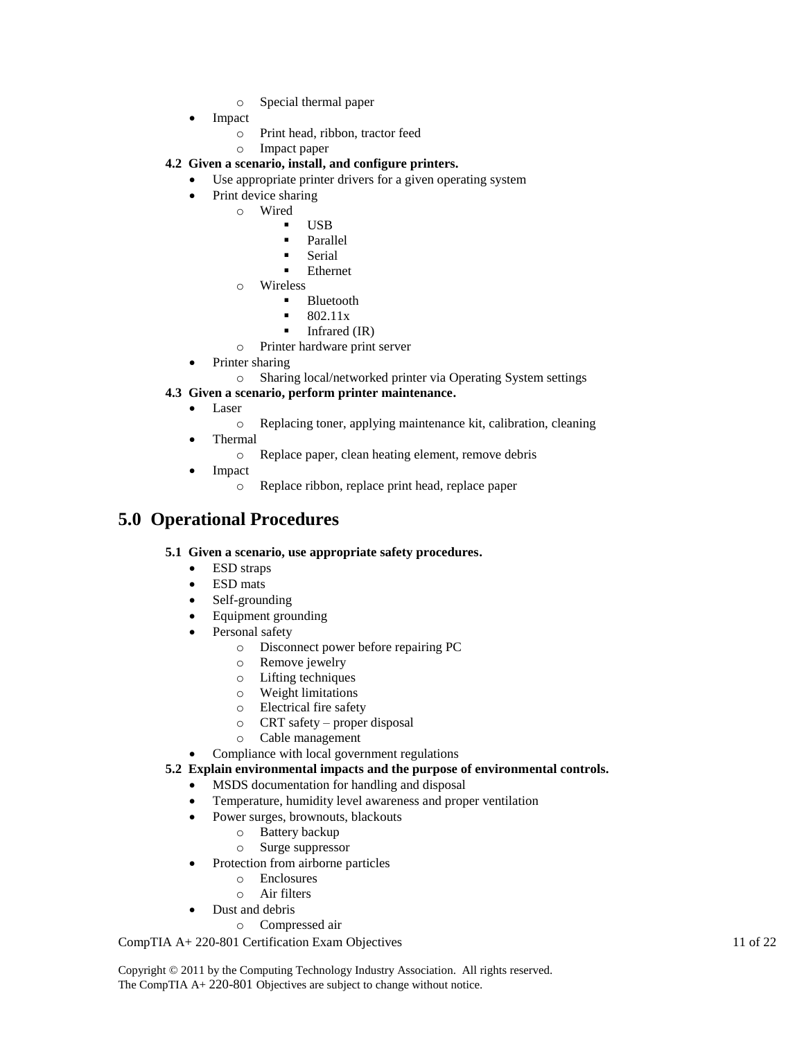- o Special thermal paper
- Impact
	- o Print head, ribbon, tractor feed
	- o Impact paper
- **4.2 Given a scenario, install, and configure printers.**
	- Use appropriate printer drivers for a given operating system
	- Print device sharing
		- o Wired
			- USB
			- **Parallel**
			- **Serial**
			- Ethernet
			- o Wireless
				- **Bluetooth**
				- 802.11x
				- $\blacksquare$  Infrared (IR)
			- o Printer hardware print server
		- Printer sharing
			- o Sharing local/networked printer via Operating System settings

### **4.3 Given a scenario, perform printer maintenance.**

- Laser
	- o Replacing toner, applying maintenance kit, calibration, cleaning
- Thermal
	- o Replace paper, clean heating element, remove debris
	- Impact
		- o Replace ribbon, replace print head, replace paper

# **5.0 Operational Procedures**

#### **5.1 Given a scenario, use appropriate safety procedures.**

- ESD straps
- ESD mats
- Self-grounding
- Equipment grounding
- Personal safety
	- o Disconnect power before repairing PC
	- o Remove jewelry
	- o Lifting techniques
	- o Weight limitations
	- o Electrical fire safety
	- o CRT safety proper disposal
	- o Cable management
- Compliance with local government regulations

#### **5.2 Explain environmental impacts and the purpose of environmental controls.**

- MSDS documentation for handling and disposal
- Temperature, humidity level awareness and proper ventilation
	- Power surges, brownouts, blackouts
		- o Battery backup
		- o Surge suppressor
- Protection from airborne particles
	- o Enclosures
	- o Air filters
- Dust and debris
	- o Compressed air

CompTIA A+ 220-801 Certification Exam Objectives 11 of 22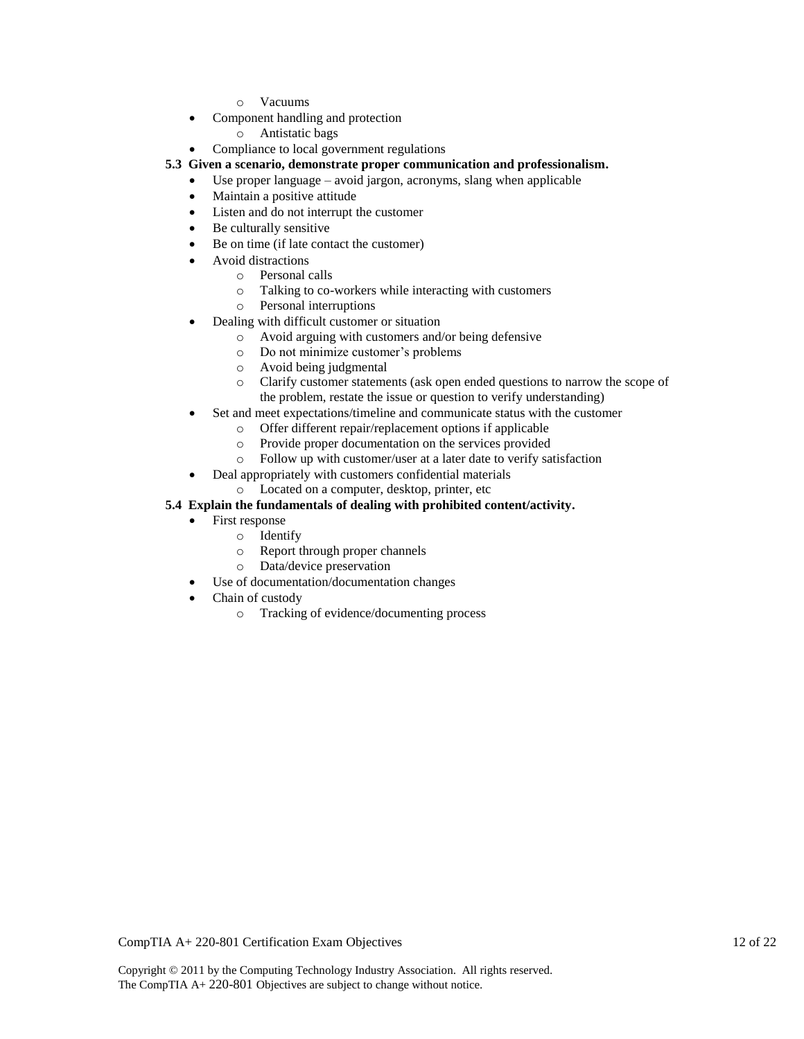- o Vacuums
- Component handling and protection
	- o Antistatic bags
- Compliance to local government regulations

#### **5.3 Given a scenario, demonstrate proper communication and professionalism.**

- Use proper language avoid jargon, acronyms, slang when applicable
- Maintain a positive attitude
- Listen and do not interrupt the customer
- Be culturally sensitive
- Be on time (if late contact the customer)
- Avoid distractions
	- o Personal calls
	- o Talking to co-workers while interacting with customers
	- o Personal interruptions
- Dealing with difficult customer or situation
	- o Avoid arguing with customers and/or being defensive
	- o Do not minimize customer's problems
	- o Avoid being judgmental
	- o Clarify customer statements (ask open ended questions to narrow the scope of the problem, restate the issue or question to verify understanding)
- Set and meet expectations/timeline and communicate status with the customer
	- o Offer different repair/replacement options if applicable
	- o Provide proper documentation on the services provided
	- o Follow up with customer/user at a later date to verify satisfaction
	- Deal appropriately with customers confidential materials
		- o Located on a computer, desktop, printer, etc

### **5.4 Explain the fundamentals of dealing with prohibited content/activity.**

- First response
	- o Identify
	- o Report through proper channels
	- o Data/device preservation
- Use of documentation/documentation changes
- Chain of custody
	- o Tracking of evidence/documenting process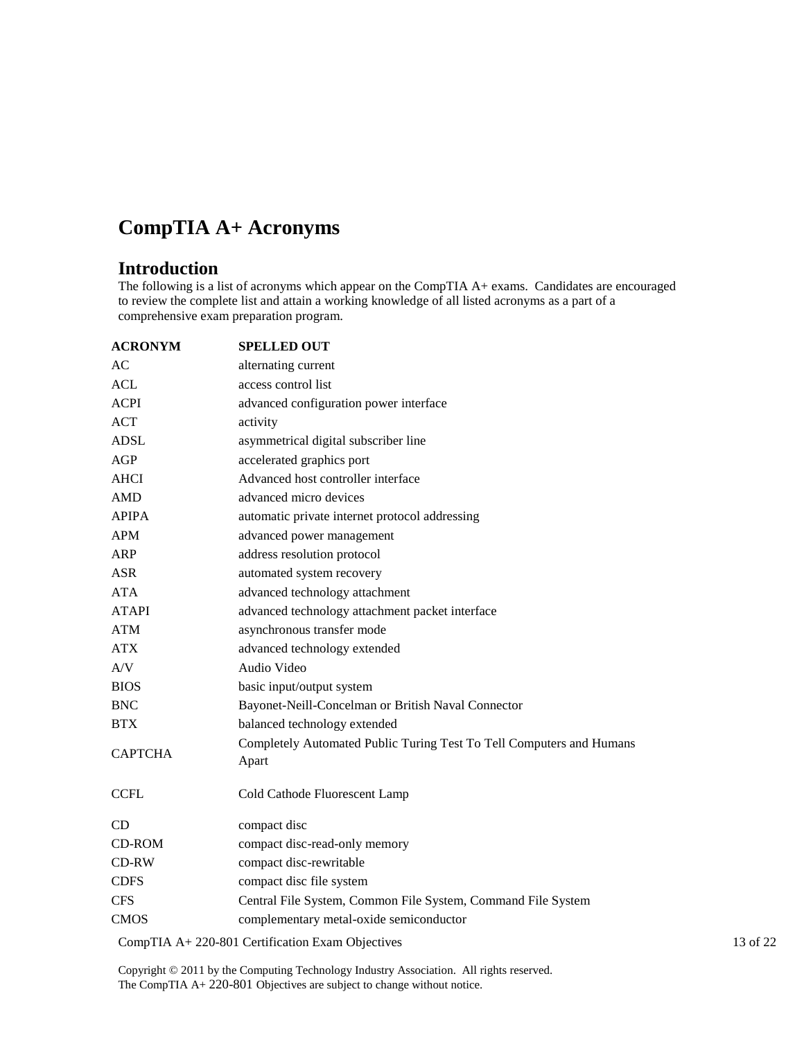# **CompTIA A+ Acronyms**

# **Introduction**

The following is a list of acronyms which appear on the CompTIA A+ exams. Candidates are encouraged to review the complete list and attain a working knowledge of all listed acronyms as a part of a comprehensive exam preparation program.

| <b>ACRONYM</b> | <b>SPELLED OUT</b>                                                            |          |
|----------------|-------------------------------------------------------------------------------|----------|
| AC             | alternating current                                                           |          |
| <b>ACL</b>     | access control list                                                           |          |
| <b>ACPI</b>    | advanced configuration power interface                                        |          |
| <b>ACT</b>     | activity                                                                      |          |
| <b>ADSL</b>    | asymmetrical digital subscriber line                                          |          |
| AGP            | accelerated graphics port                                                     |          |
| <b>AHCI</b>    | Advanced host controller interface                                            |          |
| <b>AMD</b>     | advanced micro devices                                                        |          |
| <b>APIPA</b>   | automatic private internet protocol addressing                                |          |
| <b>APM</b>     | advanced power management                                                     |          |
| <b>ARP</b>     | address resolution protocol                                                   |          |
| <b>ASR</b>     | automated system recovery                                                     |          |
| <b>ATA</b>     | advanced technology attachment                                                |          |
| <b>ATAPI</b>   | advanced technology attachment packet interface                               |          |
| <b>ATM</b>     | asynchronous transfer mode                                                    |          |
| <b>ATX</b>     | advanced technology extended                                                  |          |
| A/V            | Audio Video                                                                   |          |
| <b>BIOS</b>    | basic input/output system                                                     |          |
| <b>BNC</b>     | Bayonet-Neill-Concelman or British Naval Connector                            |          |
| <b>BTX</b>     | balanced technology extended                                                  |          |
| <b>CAPTCHA</b> | Completely Automated Public Turing Test To Tell Computers and Humans<br>Apart |          |
| <b>CCFL</b>    | Cold Cathode Fluorescent Lamp                                                 |          |
| <b>CD</b>      | compact disc                                                                  |          |
| CD-ROM         | compact disc-read-only memory                                                 |          |
| CD-RW          | compact disc-rewritable                                                       |          |
| <b>CDFS</b>    | compact disc file system                                                      |          |
| <b>CFS</b>     | Central File System, Common File System, Command File System                  |          |
| <b>CMOS</b>    | complementary metal-oxide semiconductor                                       |          |
|                | CompTIA A+220-801 Certification Exam Objectives                               | 13 of 22 |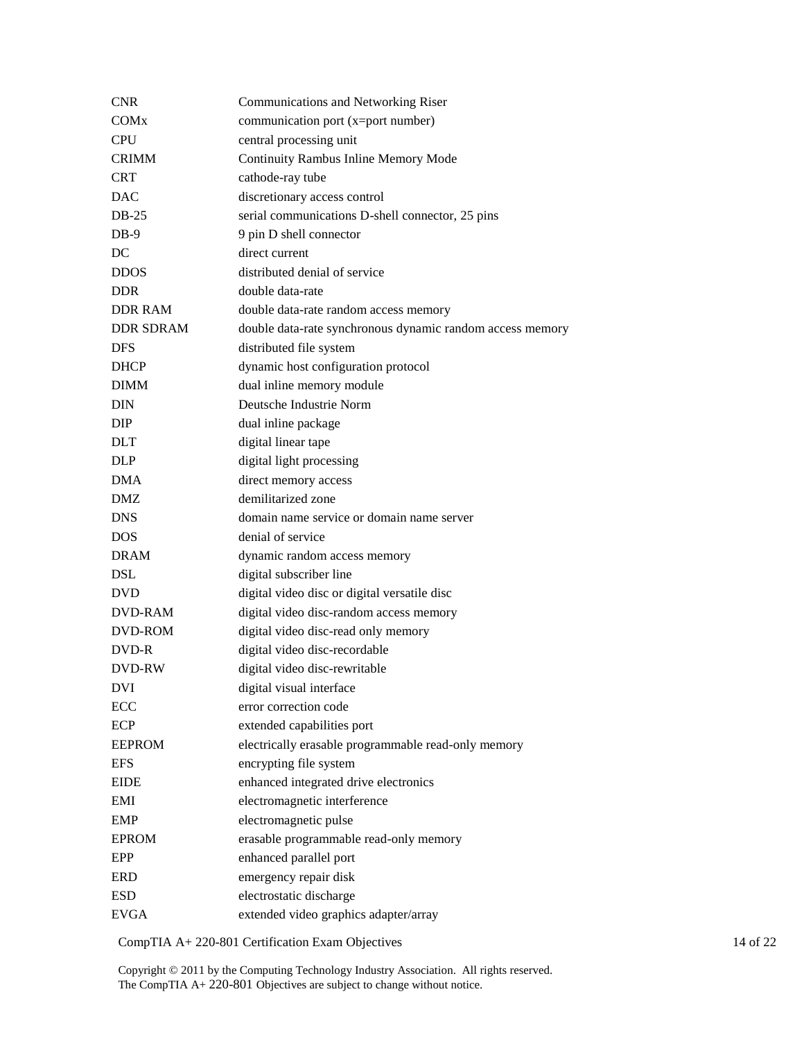| CNR              | <b>Communications and Networking Riser</b>                |
|------------------|-----------------------------------------------------------|
| COMx             | communication port (x=port number)                        |
| <b>CPU</b>       | central processing unit                                   |
| <b>CRIMM</b>     | Continuity Rambus Inline Memory Mode                      |
| <b>CRT</b>       | cathode-ray tube                                          |
| <b>DAC</b>       | discretionary access control                              |
| $DB-25$          | serial communications D-shell connector, 25 pins          |
| $DB-9$           | 9 pin D shell connector                                   |
| DC               | direct current                                            |
| <b>DDOS</b>      | distributed denial of service                             |
| <b>DDR</b>       | double data-rate                                          |
| <b>DDR RAM</b>   | double data-rate random access memory                     |
| <b>DDR SDRAM</b> | double data-rate synchronous dynamic random access memory |
| <b>DFS</b>       | distributed file system                                   |
| <b>DHCP</b>      | dynamic host configuration protocol                       |
| <b>DIMM</b>      | dual inline memory module                                 |
| DIN              | Deutsche Industrie Norm                                   |
| <b>DIP</b>       | dual inline package                                       |
| DLT              | digital linear tape                                       |
| <b>DLP</b>       | digital light processing                                  |
| <b>DMA</b>       | direct memory access                                      |
| DMZ              | demilitarized zone                                        |
| <b>DNS</b>       | domain name service or domain name server                 |
| DOS              | denial of service                                         |
| <b>DRAM</b>      | dynamic random access memory                              |
| <b>DSL</b>       | digital subscriber line                                   |
| <b>DVD</b>       | digital video disc or digital versatile disc              |
| DVD-RAM          | digital video disc-random access memory                   |
| DVD-ROM          | digital video disc-read only memory                       |
| DVD-R            | digital video disc-recordable                             |
| <b>DVD-RW</b>    | digital video disc-rewritable                             |
| <b>DVI</b>       | digital visual interface                                  |
| ECC              | error correction code                                     |
| ECP              | extended capabilities port                                |
| <b>EEPROM</b>    | electrically erasable programmable read-only memory       |
| <b>EFS</b>       | encrypting file system                                    |
| <b>EIDE</b>      | enhanced integrated drive electronics                     |
| EMI              | electromagnetic interference                              |
| <b>EMP</b>       | electromagnetic pulse                                     |
| <b>EPROM</b>     | erasable programmable read-only memory                    |
| EPP              | enhanced parallel port                                    |
| <b>ERD</b>       | emergency repair disk                                     |
| <b>ESD</b>       | electrostatic discharge                                   |
| <b>EVGA</b>      | extended video graphics adapter/array                     |
|                  |                                                           |

CompTIA A+ 220-801 Certification Exam Objectives 14 of 22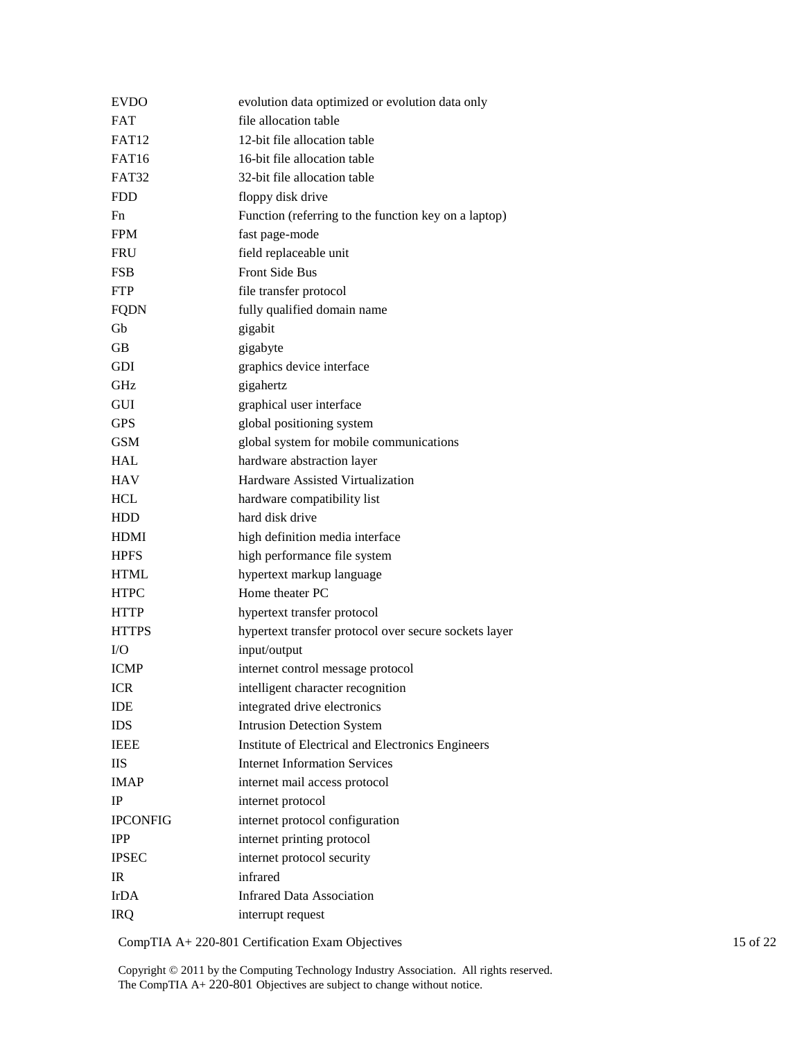| <b>EVDO</b>     | evolution data optimized or evolution data only       |
|-----------------|-------------------------------------------------------|
| <b>FAT</b>      | file allocation table                                 |
| <b>FAT12</b>    | 12-bit file allocation table                          |
| <b>FAT16</b>    | 16-bit file allocation table                          |
| <b>FAT32</b>    | 32-bit file allocation table                          |
| <b>FDD</b>      | floppy disk drive                                     |
| Fn              | Function (referring to the function key on a laptop)  |
| <b>FPM</b>      | fast page-mode                                        |
| <b>FRU</b>      | field replaceable unit                                |
| <b>FSB</b>      | <b>Front Side Bus</b>                                 |
| <b>FTP</b>      | file transfer protocol                                |
| <b>FQDN</b>     | fully qualified domain name                           |
| Gb              | gigabit                                               |
| GВ              | gigabyte                                              |
| <b>GDI</b>      | graphics device interface                             |
| <b>GHz</b>      | gigahertz                                             |
| GUI             | graphical user interface                              |
| <b>GPS</b>      | global positioning system                             |
| <b>GSM</b>      | global system for mobile communications               |
| <b>HAL</b>      | hardware abstraction layer                            |
| <b>HAV</b>      | Hardware Assisted Virtualization                      |
| <b>HCL</b>      | hardware compatibility list                           |
| <b>HDD</b>      | hard disk drive                                       |
| <b>HDMI</b>     | high definition media interface                       |
| <b>HPFS</b>     | high performance file system                          |
| <b>HTML</b>     | hypertext markup language                             |
| <b>HTPC</b>     | Home theater PC                                       |
| <b>HTTP</b>     | hypertext transfer protocol                           |
| <b>HTTPS</b>    | hypertext transfer protocol over secure sockets layer |
| I/O             | input/output                                          |
| <b>ICMP</b>     | internet control message protocol                     |
| <b>ICR</b>      | intelligent character recognition                     |
| <b>IDE</b>      | integrated drive electronics                          |
| <b>IDS</b>      | <b>Intrusion Detection System</b>                     |
| <b>IEEE</b>     | Institute of Electrical and Electronics Engineers     |
| <b>IIS</b>      | <b>Internet Information Services</b>                  |
| <b>IMAP</b>     | internet mail access protocol                         |
| <b>IP</b>       | internet protocol                                     |
| <b>IPCONFIG</b> | internet protocol configuration                       |
| <b>IPP</b>      | internet printing protocol                            |
| <b>IPSEC</b>    | internet protocol security                            |
| IR              | infrared                                              |
| IrDA            | <b>Infrared Data Association</b>                      |
| <b>IRQ</b>      | interrupt request                                     |

CompTIA A+ 220-801 Certification Exam Objectives 15 of 22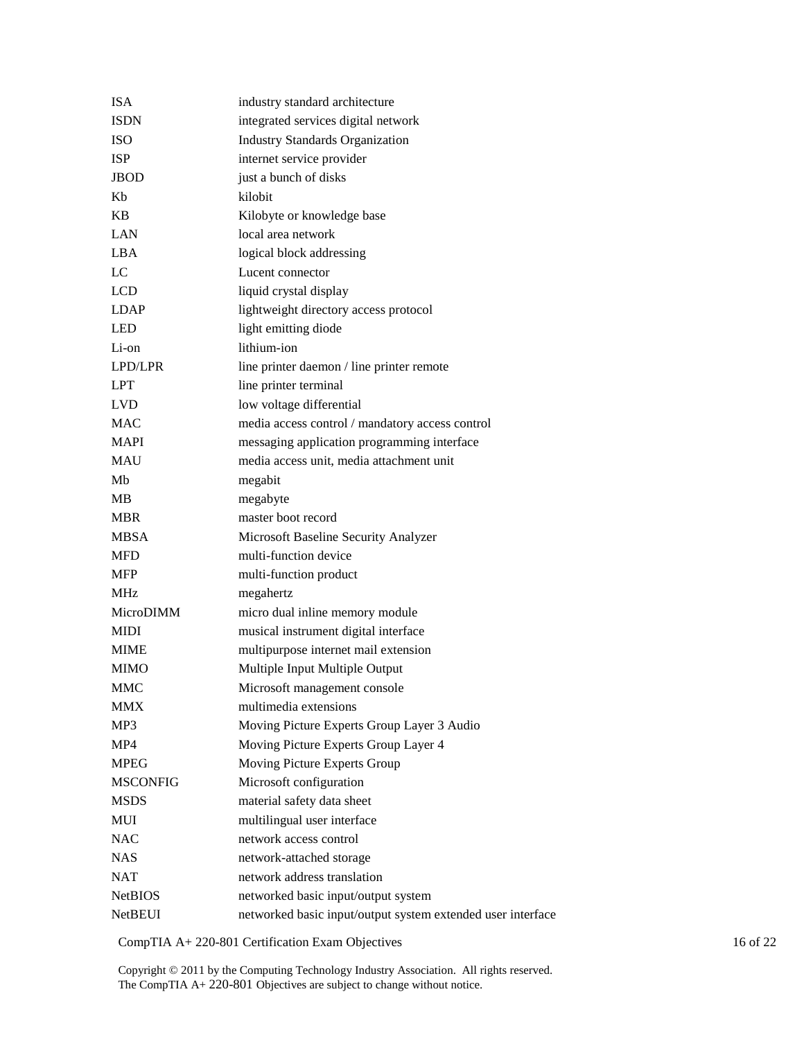| <b>ISA</b>      | industry standard architecture                              |
|-----------------|-------------------------------------------------------------|
| <b>ISDN</b>     | integrated services digital network                         |
| <b>ISO</b>      | <b>Industry Standards Organization</b>                      |
| <b>ISP</b>      | internet service provider                                   |
| <b>JBOD</b>     | just a bunch of disks                                       |
| Kb              | kilobit                                                     |
| <b>KB</b>       | Kilobyte or knowledge base                                  |
| <b>LAN</b>      | local area network                                          |
| <b>LBA</b>      | logical block addressing                                    |
| LC              | Lucent connector                                            |
| <b>LCD</b>      | liquid crystal display                                      |
| <b>LDAP</b>     | lightweight directory access protocol                       |
| <b>LED</b>      | light emitting diode                                        |
| Li-on           | lithium-ion                                                 |
| LPD/LPR         | line printer daemon / line printer remote                   |
| <b>LPT</b>      | line printer terminal                                       |
| <b>LVD</b>      | low voltage differential                                    |
| <b>MAC</b>      | media access control / mandatory access control             |
| <b>MAPI</b>     | messaging application programming interface                 |
| <b>MAU</b>      | media access unit, media attachment unit                    |
| Mb              | megabit                                                     |
| MВ              | megabyte                                                    |
| <b>MBR</b>      | master boot record                                          |
| <b>MBSA</b>     | Microsoft Baseline Security Analyzer                        |
| <b>MFD</b>      | multi-function device                                       |
| <b>MFP</b>      | multi-function product                                      |
| <b>MHz</b>      | megahertz                                                   |
| MicroDIMM       | micro dual inline memory module                             |
| MIDI            | musical instrument digital interface                        |
| <b>MIME</b>     | multipurpose internet mail extension                        |
| <b>MIMO</b>     | Multiple Input Multiple Output                              |
| <b>MMC</b>      | Microsoft management console                                |
| <b>MMX</b>      | multimedia extensions                                       |
| MP3             | Moving Picture Experts Group Layer 3 Audio                  |
| MP4             | Moving Picture Experts Group Layer 4                        |
| <b>MPEG</b>     | Moving Picture Experts Group                                |
| <b>MSCONFIG</b> | Microsoft configuration                                     |
| <b>MSDS</b>     | material safety data sheet                                  |
| MUI             | multilingual user interface                                 |
| <b>NAC</b>      | network access control                                      |
| <b>NAS</b>      | network-attached storage                                    |
| <b>NAT</b>      | network address translation                                 |
| <b>NetBIOS</b>  | networked basic input/output system                         |
| <b>NetBEUI</b>  | networked basic input/output system extended user interface |
|                 |                                                             |

CompTIA A+ 220-801 Certification Exam Objectives 16 of 22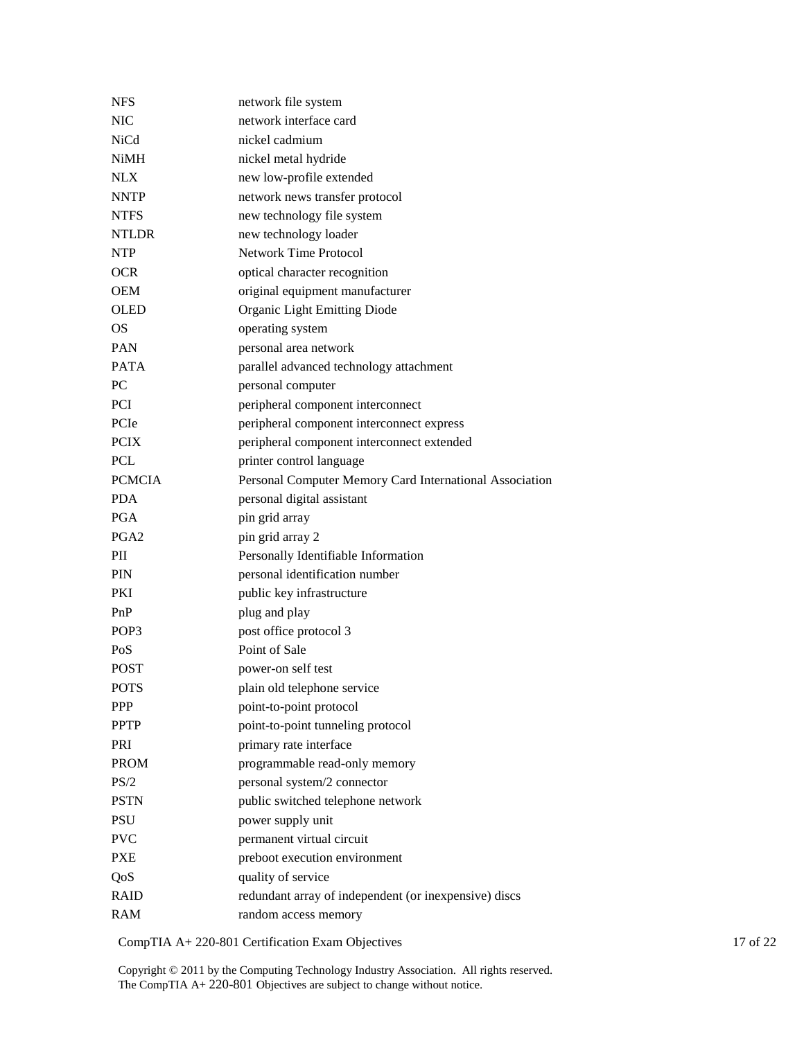| <b>NFS</b>       | network file system                                     |
|------------------|---------------------------------------------------------|
| <b>NIC</b>       | network interface card                                  |
| <b>NiCd</b>      | nickel cadmium                                          |
| <b>NiMH</b>      | nickel metal hydride                                    |
| <b>NLX</b>       | new low-profile extended                                |
| <b>NNTP</b>      | network news transfer protocol                          |
| <b>NTFS</b>      | new technology file system                              |
| <b>NTLDR</b>     | new technology loader                                   |
| <b>NTP</b>       | <b>Network Time Protocol</b>                            |
| <b>OCR</b>       | optical character recognition                           |
| <b>OEM</b>       | original equipment manufacturer                         |
| <b>OLED</b>      | Organic Light Emitting Diode                            |
| <b>OS</b>        | operating system                                        |
| <b>PAN</b>       | personal area network                                   |
| <b>PATA</b>      | parallel advanced technology attachment                 |
| PC               | personal computer                                       |
| <b>PCI</b>       | peripheral component interconnect                       |
| PCIe             | peripheral component interconnect express               |
| <b>PCIX</b>      | peripheral component interconnect extended              |
| <b>PCL</b>       | printer control language                                |
| <b>PCMCIA</b>    | Personal Computer Memory Card International Association |
| <b>PDA</b>       | personal digital assistant                              |
| <b>PGA</b>       | pin grid array                                          |
| PGA <sub>2</sub> | pin grid array 2                                        |
| PII              | Personally Identifiable Information                     |
| <b>PIN</b>       | personal identification number                          |
| PKI              | public key infrastructure                               |
| PnP              | plug and play                                           |
| POP <sub>3</sub> | post office protocol 3                                  |
| PoS              | Point of Sale                                           |
| <b>POST</b>      | power-on self test                                      |
| <b>POTS</b>      | plain old telephone service                             |
| <b>PPP</b>       | point-to-point protocol                                 |
| <b>PPTP</b>      | point-to-point tunneling protocol                       |
| PRI              | primary rate interface                                  |
| <b>PROM</b>      | programmable read-only memory                           |
| PS/2             | personal system/2 connector                             |
| <b>PSTN</b>      | public switched telephone network                       |
| <b>PSU</b>       | power supply unit                                       |
| <b>PVC</b>       | permanent virtual circuit                               |
| <b>PXE</b>       | preboot execution environment                           |
| QoS              | quality of service                                      |
| <b>RAID</b>      | redundant array of independent (or inexpensive) discs   |
| <b>RAM</b>       | random access memory                                    |
|                  |                                                         |

CompTIA A+ 220-801 Certification Exam Objectives 17 of 22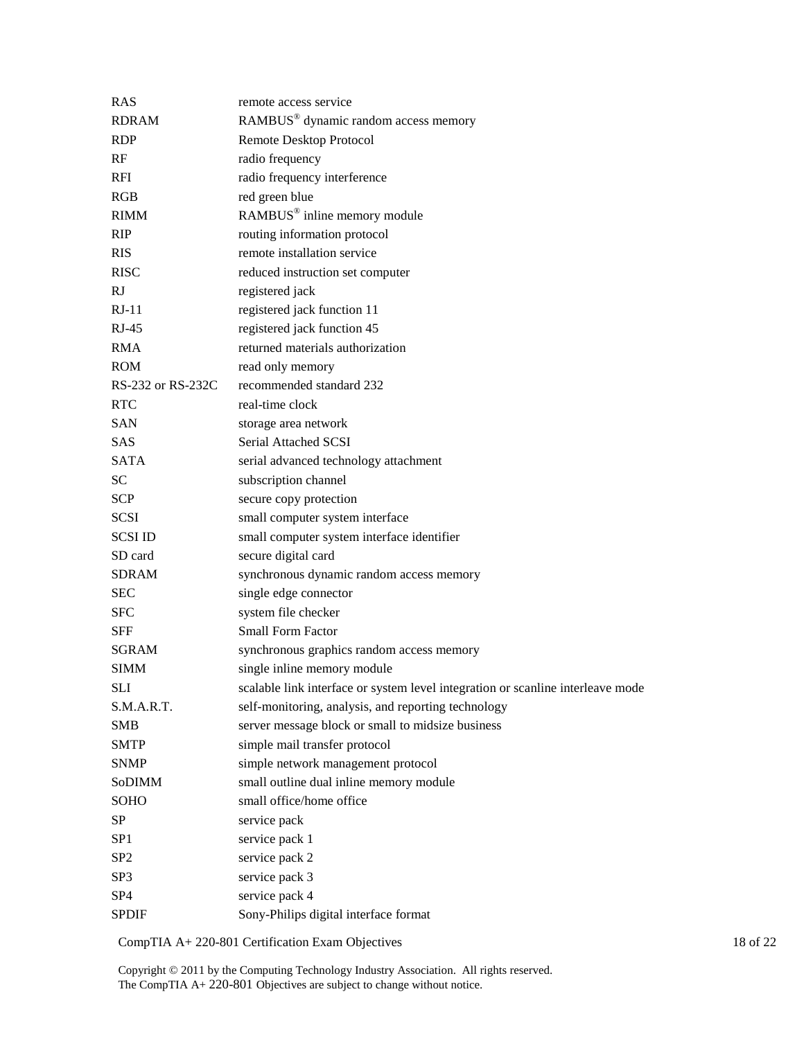| <b>RAS</b>        | remote access service                                                           |
|-------------------|---------------------------------------------------------------------------------|
| <b>RDRAM</b>      | RAMBUS® dynamic random access memory                                            |
| <b>RDP</b>        | Remote Desktop Protocol                                                         |
| RF                | radio frequency                                                                 |
| <b>RFI</b>        | radio frequency interference                                                    |
| RGB               | red green blue                                                                  |
| <b>RIMM</b>       | $\text{RAMBUS}^{\circledast}$ inline memory module                              |
| <b>RIP</b>        | routing information protocol                                                    |
| <b>RIS</b>        | remote installation service                                                     |
| <b>RISC</b>       | reduced instruction set computer                                                |
| RJ                | registered jack                                                                 |
| $RJ-11$           | registered jack function 11                                                     |
| $RJ-45$           | registered jack function 45                                                     |
| <b>RMA</b>        | returned materials authorization                                                |
| <b>ROM</b>        | read only memory                                                                |
| RS-232 or RS-232C | recommended standard 232                                                        |
| <b>RTC</b>        | real-time clock                                                                 |
| <b>SAN</b>        | storage area network                                                            |
| <b>SAS</b>        | <b>Serial Attached SCSI</b>                                                     |
| <b>SATA</b>       | serial advanced technology attachment                                           |
| <b>SC</b>         | subscription channel                                                            |
| <b>SCP</b>        | secure copy protection                                                          |
| <b>SCSI</b>       | small computer system interface                                                 |
| <b>SCSI ID</b>    | small computer system interface identifier                                      |
| SD card           | secure digital card                                                             |
| <b>SDRAM</b>      | synchronous dynamic random access memory                                        |
| <b>SEC</b>        | single edge connector                                                           |
| <b>SFC</b>        | system file checker                                                             |
| <b>SFF</b>        | <b>Small Form Factor</b>                                                        |
| <b>SGRAM</b>      | synchronous graphics random access memory                                       |
| <b>SIMM</b>       | single inline memory module                                                     |
| <b>SLI</b>        | scalable link interface or system level integration or scanline interleave mode |
| S.M.A.R.T.        | self-monitoring, analysis, and reporting technology                             |
| <b>SMB</b>        | server message block or small to midsize business                               |
| <b>SMTP</b>       | simple mail transfer protocol                                                   |
| <b>SNMP</b>       | simple network management protocol                                              |
| SoDIMM            | small outline dual inline memory module                                         |
| SOHO              | small office/home office                                                        |
| SP                | service pack                                                                    |
| SP1               | service pack 1                                                                  |
| SP <sub>2</sub>   | service pack 2                                                                  |
| SP3               | service pack 3                                                                  |
| SP <sub>4</sub>   | service pack 4                                                                  |
| <b>SPDIF</b>      | Sony-Philips digital interface format                                           |

CompTIA A+ 220-801 Certification Exam Objectives 18 of 22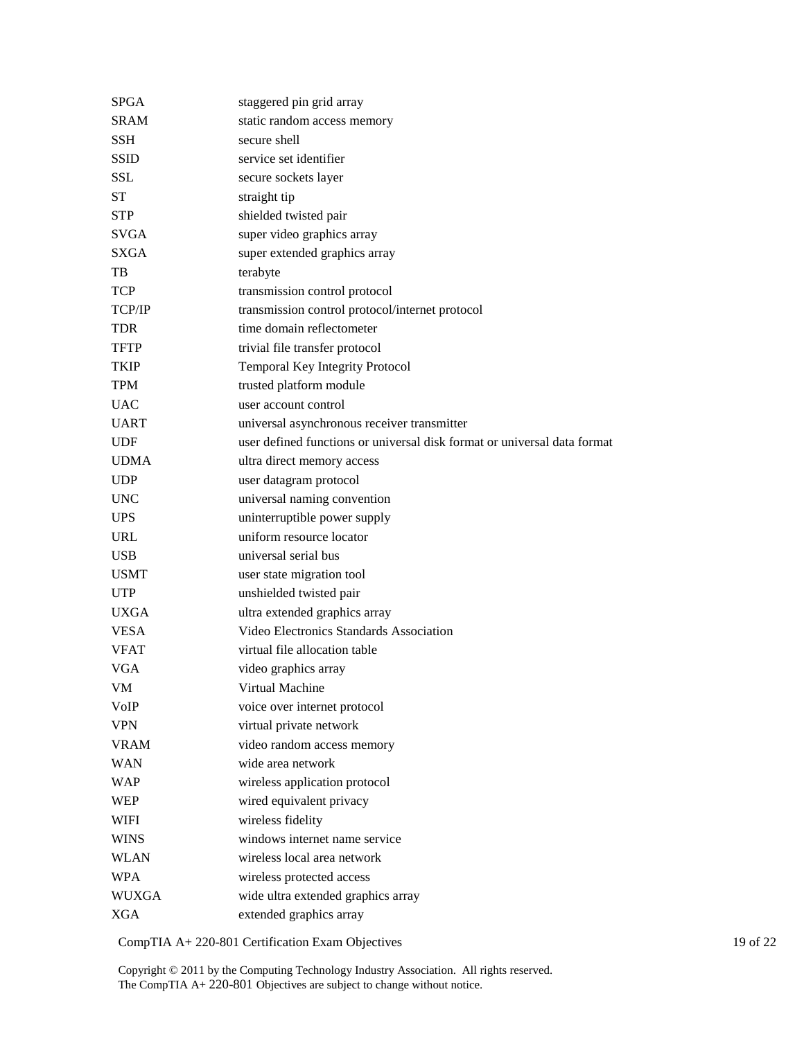| SPGA          | staggered pin grid array                                                 |
|---------------|--------------------------------------------------------------------------|
| <b>SRAM</b>   | static random access memory                                              |
| <b>SSH</b>    | secure shell                                                             |
| <b>SSID</b>   | service set identifier                                                   |
| <b>SSL</b>    | secure sockets layer                                                     |
| <b>ST</b>     | straight tip                                                             |
| <b>STP</b>    | shielded twisted pair                                                    |
| <b>SVGA</b>   | super video graphics array                                               |
| <b>SXGA</b>   | super extended graphics array                                            |
| TB            | terabyte                                                                 |
| <b>TCP</b>    | transmission control protocol                                            |
| <b>TCP/IP</b> | transmission control protocol/internet protocol                          |
| <b>TDR</b>    | time domain reflectometer                                                |
| <b>TFTP</b>   | trivial file transfer protocol                                           |
| <b>TKIP</b>   | Temporal Key Integrity Protocol                                          |
| <b>TPM</b>    | trusted platform module                                                  |
| <b>UAC</b>    | user account control                                                     |
| <b>UART</b>   | universal asynchronous receiver transmitter                              |
| <b>UDF</b>    | user defined functions or universal disk format or universal data format |
| <b>UDMA</b>   | ultra direct memory access                                               |
| <b>UDP</b>    | user datagram protocol                                                   |
| <b>UNC</b>    | universal naming convention                                              |
| <b>UPS</b>    | uninterruptible power supply                                             |
| <b>URL</b>    | uniform resource locator                                                 |
| <b>USB</b>    | universal serial bus                                                     |
| <b>USMT</b>   | user state migration tool                                                |
| <b>UTP</b>    | unshielded twisted pair                                                  |
| <b>UXGA</b>   | ultra extended graphics array                                            |
| <b>VESA</b>   | Video Electronics Standards Association                                  |
| <b>VFAT</b>   | virtual file allocation table                                            |
| <b>VGA</b>    | video graphics array                                                     |
| VM            | Virtual Machine                                                          |
| VoIP          | voice over internet protocol                                             |
| <b>VPN</b>    | virtual private network                                                  |
| <b>VRAM</b>   | video random access memory                                               |
| <b>WAN</b>    | wide area network                                                        |
| <b>WAP</b>    | wireless application protocol                                            |
| <b>WEP</b>    | wired equivalent privacy                                                 |
| <b>WIFI</b>   | wireless fidelity                                                        |
| <b>WINS</b>   | windows internet name service                                            |
| <b>WLAN</b>   | wireless local area network                                              |
| <b>WPA</b>    | wireless protected access                                                |
| <b>WUXGA</b>  | wide ultra extended graphics array                                       |
| <b>XGA</b>    | extended graphics array                                                  |

CompTIA A+ 220-801 Certification Exam Objectives 19 of 22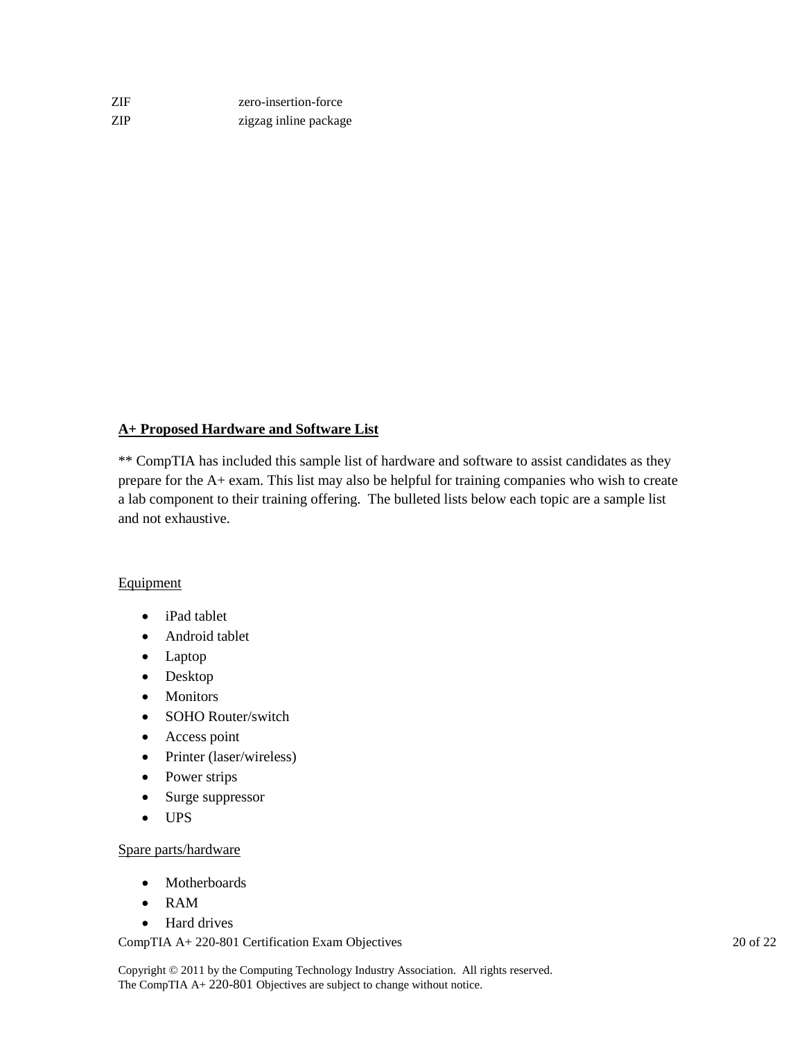| ZIF. | zero-insertion-force  |
|------|-----------------------|
| ZIP. | zigzag inline package |

# **A+ Proposed Hardware and Software List**

\*\* CompTIA has included this sample list of hardware and software to assist candidates as they prepare for the A+ exam. This list may also be helpful for training companies who wish to create a lab component to their training offering. The bulleted lists below each topic are a sample list and not exhaustive.

## **Equipment**

- iPad tablet
- Android tablet
- Laptop
- Desktop
- Monitors
- SOHO Router/switch
- Access point
- Printer (laser/wireless)
- Power strips
- Surge suppressor
- UPS

## Spare parts/hardware

- Motherboards
- RAM
- Hard drives

CompTIA A+ 220-801 Certification Exam Objectives 20 of 22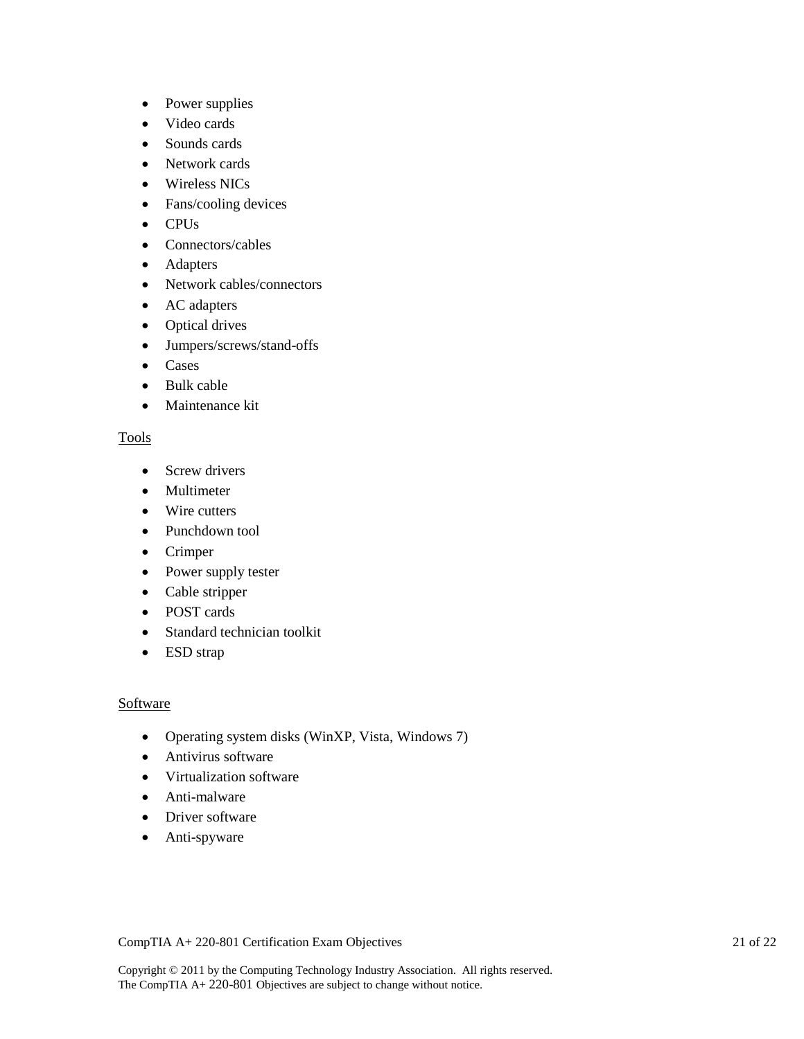- Power supplies
- Video cards
- Sounds cards
- Network cards
- Wireless NICs
- Fans/cooling devices
- CPUs
- Connectors/cables
- Adapters
- Network cables/connectors
- AC adapters
- Optical drives
- Jumpers/screws/stand-offs
- Cases
- Bulk cable
- Maintenance kit

## Tools

- Screw drivers
- Multimeter
- Wire cutters
- Punchdown tool
- Crimper
- Power supply tester
- Cable stripper
- POST cards
- Standard technician toolkit
- ESD strap

# Software

- Operating system disks (WinXP, Vista, Windows 7)
- Antivirus software
- Virtualization software
- Anti-malware
- Driver software
- Anti-spyware

CompTIA A+ 220-801 Certification Exam Objectives 21 of 22